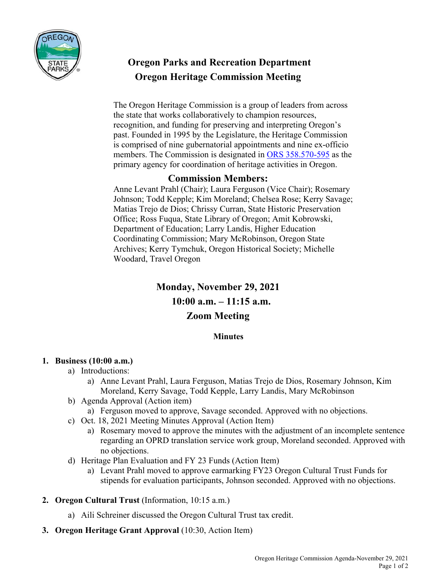

# **Oregon Parks and Recreation Department Oregon Heritage Commission Meeting**

The Oregon Heritage Commission is a group of leaders from across the state that works collaboratively to champion resources, recognition, and funding for preserving and interpreting Oregon's past. Founded in 1995 by the Legislature, the Heritage Commission is comprised of nine gubernatorial appointments and nine ex-officio members. The Commission is designated in ORS 358.570-595 as the primary agency for coordination of heritage activities in Oregon.

## **Commission Members:**

Anne Levant Prahl (Chair); Laura Ferguson (Vice Chair); Rosemary Johnson; Todd Kepple; Kim Moreland; Chelsea Rose; Kerry Savage; Matias Trejo de Dios; Chrissy Curran, State Historic Preservation Office; Ross Fuqua, State Library of Oregon; Amit Kobrowski, Department of Education; Larry Landis, Higher Education Coordinating Commission; Mary McRobinson, Oregon State Archives; Kerry Tymchuk, Oregon Historical Society; Michelle Woodard, Travel Oregon

## **Monday, November 29, 2021 10:00 a.m. – 11:15 a.m. Zoom Meeting**

### **Minutes**

#### **1. Business (10:00 a.m.)**

- a) Introductions:
	- a) Anne Levant Prahl, Laura Ferguson, Matias Trejo de Dios, Rosemary Johnson, Kim Moreland, Kerry Savage, Todd Kepple, Larry Landis, Mary McRobinson
- b) Agenda Approval (Action item)
	- a) Ferguson moved to approve, Savage seconded. Approved with no objections.
- c) Oct. 18, 2021 Meeting Minutes Approval (Action Item)
	- a) Rosemary moved to approve the minutes with the adjustment of an incomplete sentence regarding an OPRD translation service work group, Moreland seconded. Approved with no objections.
- d) Heritage Plan Evaluation and FY 23 Funds (Action Item)
	- a) Levant Prahl moved to approve earmarking FY23 Oregon Cultural Trust Funds for stipends for evaluation participants, Johnson seconded. Approved with no objections.
- **2. Oregon Cultural Trust** (Information, 10:15 a.m.)
	- a) Aili Schreiner discussed the Oregon Cultural Trust tax credit.
- **3. Oregon Heritage Grant Approval** (10:30, Action Item)